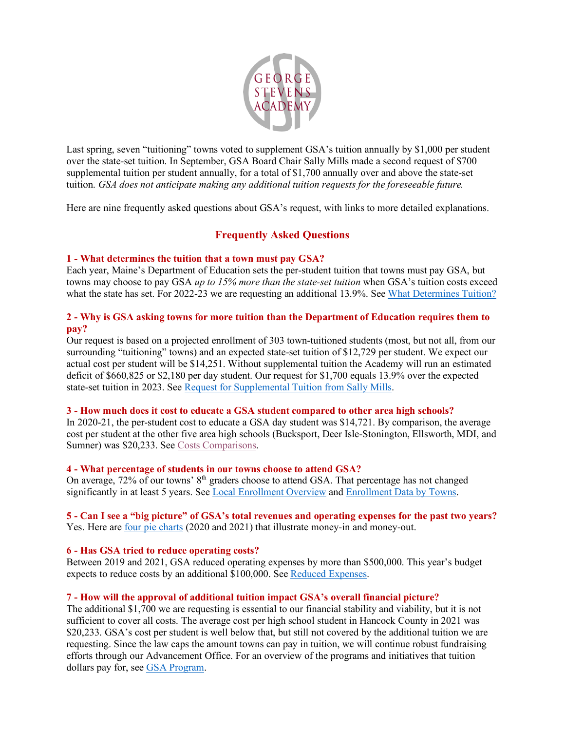

Last spring, seven "tuitioning" towns voted to supplement GSA's tuition annually by \$1,000 per student over the state-set tuition. In September, GSA Board Chair Sally Mills made a second request of \$700 supplemental tuition per student annually, for a total of \$1,700 annually over and above the state-set tuition. *GSA does not anticipate making any additional tuition requests for the foreseeable future.*

Here are nine frequently asked questions about GSA's request, with links to more detailed explanations.

# **Frequently Asked Questions**

## **1 - What determines the tuition that a town must pay GSA?**

Each year, Maine's Department of Education sets the per-student tuition that towns must pay GSA, but towns may choose to pay GSA *up to 15% more than the state-set tuition* when GSA's tuition costs exceed what the state has set. For 2022-23 we are requesting an additional 13.9%. Se[e What Determines Tuition?](https://www.georgestevensacademy.org/Page/1002)

# **2 - Why is GSA asking towns for more tuition than the Department of Education requires them to pay?**

Our request is based on a projected enrollment of 303 town-tuitioned students (most, but not all, from our surrounding "tuitioning" towns) and an expected state-set tuition of \$12,729 per student. We expect our actual cost per student will be \$14,251. Without supplemental tuition the Academy will run an estimated deficit of \$660,825 or \$2,180 per day student. Our request for \$1,700 equals 13.9% over the expected state-set tuition in 2023. See [Request for Supplemental Tuition from Sally Mills.](https://www.georgestevensacademy.org/cms/lib/ME02000358/Centricity/Domain/1/Town_Tuition_Request_Letter_Mills.pdf)

### **3 - How much does it cost to educate a GSA student compared to other area high schools?**

In 2020-21, the per-student cost to educate a GSA day student was \$14,721. By comparison, the average cost per student at the other five area high schools (Bucksport, Deer Isle-Stonington, Ellsworth, MDI, and Sumner) was \$20,233. See [Costs Comparisons.](https://www.georgestevensacademy.org/cms/lib/ME02000358/Centricity/Domain/1/Town_Tuition_GSA Cost_Salary_Comparison.pdf)

### **4 - What percentage of students in our towns choose to attend GSA?**

On average, 72% of our towns' 8<sup>th</sup> graders choose to attend GSA. That percentage has not changed significantly in at least 5 years. See [Local Enrollment Overview](https://www.georgestevensacademy.org/cms/lib/ME02000358/Centricity/Domain/1/Town_Tuition_Local_Enrollment_Data_Revised_9-27.pdf) an[d Enrollment Data by Towns.](https://www.georgestevensacademy.org/cms/lib/ME02000358/Centricity/Domain/1/Town_Tuition_Union_data_re_9th-grade_choice_2017-2021.pdf)

### **5 - Can I see a "big picture" of GSA's total revenues and operating expenses for the past two years?** Yes. Here are [four pie charts](https://www.georgestevensacademy.org/cms/lib/ME02000358/Centricity/Domain/1/Town_Tuition_Financial_Summary_Charts_2020_and_2021.pdf) (2020 and 2021) that illustrate money-in and money-out.

### **6 - Has GSA tried to reduce operating costs?**

Between 2019 and 2021, GSA reduced operating expenses by more than \$500,000. This year's budget expects to reduce costs by an additional \$100,000. Se[e Reduced Expenses.](https://www.georgestevensacademy.org/cms/lib/ME02000358/Centricity/Domain/1/Town_Tuition_Reduced_Expenses_20-22_revised_10-4.pdf)

### **7 - How will the approval of additional tuition impact GSA's overall financial picture?**

The additional \$1,700 we are requesting is essential to our financial stability and viability, but it is not sufficient to cover all costs. The average cost per high school student in Hancock County in 2021 was \$20,233. GSA's cost per student is well below that, but still not covered by the additional tuition we are requesting. Since the law caps the amount towns can pay in tuition, we will continue robust fundraising efforts through our Advancement Office. For an overview of the programs and initiatives that tuition dollars pay for, se[e GSA Program.](https://www.georgestevensacademy.org/cms/lib/ME02000358/Centricity/Domain/1/Town_Tuition_GSA_Programs.pdf)